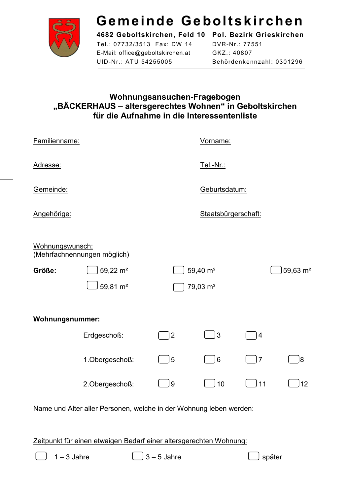

# Gemeinde Geboltskirchen

Tel.: 07732/3513 Fax: DW 14 E-Mail: office@geboltskirchen.at UID-Nr.: ATU 54255005

4682 Geboltskirchen, Feld 10 Pol. Bezirk Grieskirchen DVR-Nr.: 77551 GKZ.: 40807 Behördenkennzahl: 0301296

## Wohnungsansuchen-Fragebogen "BÄCKERHAUS - altersgerechtes Wohnen" in Geboltskirchen für die Aufnahme in die Interessentenliste

| Familienname:          |                                                                    |                     | Vorname:             |                |            |
|------------------------|--------------------------------------------------------------------|---------------------|----------------------|----------------|------------|
| Adresse:               |                                                                    |                     | Tel.-Nr.:            |                |            |
| Gemeinde:              |                                                                    |                     | Geburtsdatum:        |                |            |
| Angehörige:            |                                                                    | Staatsbürgerschaft: |                      |                |            |
| Wohnungswunsch:        | (Mehrfachnennungen möglich)                                        |                     |                      |                |            |
| Größe:                 | 59,22 m <sup>2</sup>                                               |                     | 59,40 m <sup>2</sup> |                | 59,63 $m2$ |
|                        | 59,81 m <sup>2</sup>                                               |                     | 79,03 m <sup>2</sup> |                |            |
| <b>Wohnungsnummer:</b> |                                                                    |                     |                      |                |            |
|                        | Erdgeschoß:                                                        | $\overline{2}$      | 3                    | $\overline{4}$ |            |
|                        | 1.Obergeschoß:                                                     | 5                   | 6                    | $\overline{7}$ | 8          |
|                        | 2.Obergeschoß:                                                     | $9\,$               | 10                   | 11             | 12         |
|                        | Name und Alter aller Personen, welche in der Wohnung leben werden: |                     |                      |                |            |

Zeitpunkt für einen etwaigen Bedarf einer altersgerechten Wohnung:

 $1 - 3$  Jahre

J 3 – 5 Jahre